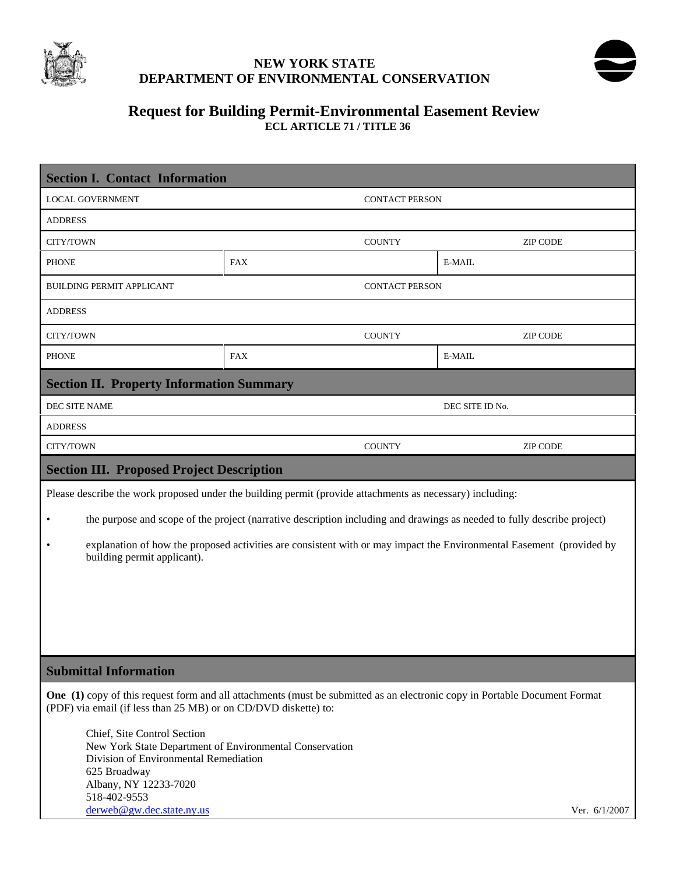

## **NEW YORK STATE DEPARTMENT OF ENVIRONMENTAL CONSERVATION**



### **Request for Building Permit-Environmental Easement Review ECL ARTICLE 71 / TITLE 36**

|                                                                                                                                                                                                      | <b>Section I. Contact Information</b>                                                                                                                                                                                 |            |                       |                 |  |
|------------------------------------------------------------------------------------------------------------------------------------------------------------------------------------------------------|-----------------------------------------------------------------------------------------------------------------------------------------------------------------------------------------------------------------------|------------|-----------------------|-----------------|--|
| <b>LOCAL GOVERNMENT</b>                                                                                                                                                                              |                                                                                                                                                                                                                       |            | <b>CONTACT PERSON</b> |                 |  |
| <b>ADDRESS</b>                                                                                                                                                                                       |                                                                                                                                                                                                                       |            |                       |                 |  |
| CITY/TOWN                                                                                                                                                                                            |                                                                                                                                                                                                                       |            | <b>COUNTY</b>         | <b>ZIP CODE</b> |  |
| <b>PHONE</b>                                                                                                                                                                                         |                                                                                                                                                                                                                       | <b>FAX</b> |                       | E-MAIL          |  |
| <b>BUILDING PERMIT APPLICANT</b>                                                                                                                                                                     |                                                                                                                                                                                                                       |            | <b>CONTACT PERSON</b> |                 |  |
| <b>ADDRESS</b>                                                                                                                                                                                       |                                                                                                                                                                                                                       |            |                       |                 |  |
| CITY/TOWN                                                                                                                                                                                            |                                                                                                                                                                                                                       |            | <b>COUNTY</b>         | <b>ZIP CODE</b> |  |
| <b>PHONE</b>                                                                                                                                                                                         |                                                                                                                                                                                                                       | <b>FAX</b> |                       | E-MAIL          |  |
| <b>Section II. Property Information Summary</b>                                                                                                                                                      |                                                                                                                                                                                                                       |            |                       |                 |  |
| DEC SITE NAME                                                                                                                                                                                        |                                                                                                                                                                                                                       |            | DEC SITE ID No.       |                 |  |
| <b>ADDRESS</b>                                                                                                                                                                                       |                                                                                                                                                                                                                       |            |                       |                 |  |
| CITY/TOWN                                                                                                                                                                                            |                                                                                                                                                                                                                       |            | <b>COUNTY</b>         | <b>ZIP CODE</b> |  |
| <b>Section III. Proposed Project Description</b>                                                                                                                                                     |                                                                                                                                                                                                                       |            |                       |                 |  |
| Please describe the work proposed under the building permit (provide attachments as necessary) including:                                                                                            |                                                                                                                                                                                                                       |            |                       |                 |  |
| $\bullet$                                                                                                                                                                                            | the purpose and scope of the project (narrative description including and drawings as needed to fully describe project)                                                                                               |            |                       |                 |  |
| $\bullet$                                                                                                                                                                                            | explanation of how the proposed activities are consistent with or may impact the Environmental Easement (provided by<br>building permit applicant).                                                                   |            |                       |                 |  |
|                                                                                                                                                                                                      |                                                                                                                                                                                                                       |            |                       |                 |  |
|                                                                                                                                                                                                      |                                                                                                                                                                                                                       |            |                       |                 |  |
|                                                                                                                                                                                                      |                                                                                                                                                                                                                       |            |                       |                 |  |
| <b>Submittal Information</b>                                                                                                                                                                         |                                                                                                                                                                                                                       |            |                       |                 |  |
| <b>One</b> (1) copy of this request form and all attachments (must be submitted as an electronic copy in Portable Document Format<br>(PDF) via email (if less than 25 MB) or on CD/DVD diskette) to: |                                                                                                                                                                                                                       |            |                       |                 |  |
|                                                                                                                                                                                                      | Chief, Site Control Section<br>New York State Department of Environmental Conservation<br>Division of Environmental Remediation<br>625 Broadway<br>Albany, NY 12233-7020<br>518-402-9553<br>derweb@gw.dec.state.ny.us |            |                       | Ver. 6/1/2007   |  |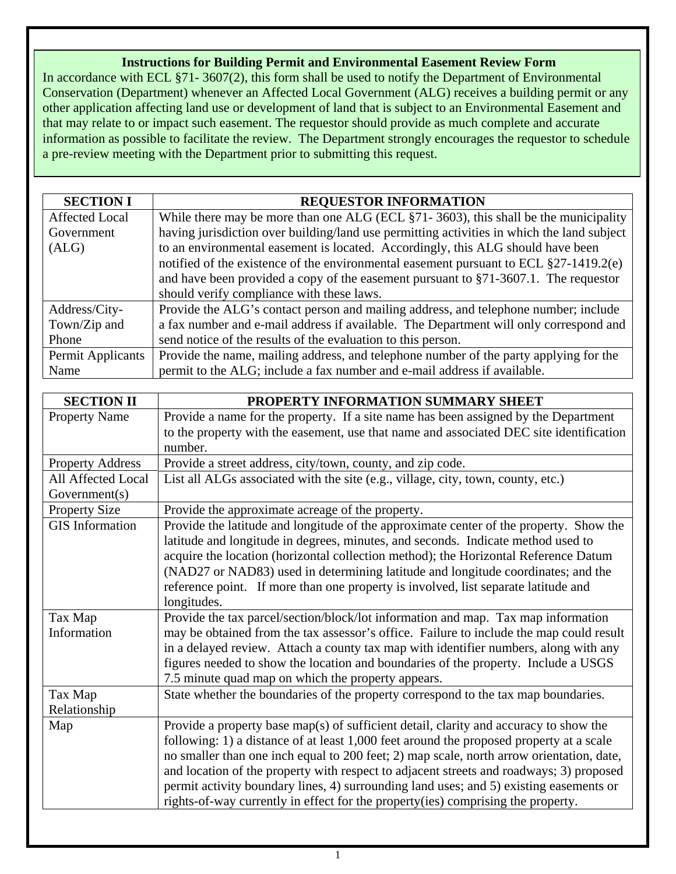# **Instructions for Building Permit and Environmental Easement Review Form**

In accordance with ECL §71- 3607(2), this form shall be used to notify the Department of Environmental Conservation (Department) whenever an Affected Local Government (ALG) receives a building permit or any other application affecting land use or development of land that is subject to an Environmental Easement and that may relate to or impact such easement. The requestor should provide as much complete and accurate information as possible to facilitate the review. The Department strongly encourages the requestor to schedule a pre-review meeting with the Department prior to submitting this request.

| <b>SECTION I</b>      | <b>REQUESTOR INFORMATION</b>                                                               |  |  |  |
|-----------------------|--------------------------------------------------------------------------------------------|--|--|--|
| <b>Affected Local</b> | While there may be more than one ALG (ECL §71-3603), this shall be the municipality        |  |  |  |
| Government            | having jurisdiction over building/land use permitting activities in which the land subject |  |  |  |
| (ALG)                 | to an environmental easement is located. Accordingly, this ALG should have been            |  |  |  |
|                       | notified of the existence of the environmental easement pursuant to ECL $\S 27-1419.2(e)$  |  |  |  |
|                       | and have been provided a copy of the easement pursuant to $\S71-3607.1$ . The requestor    |  |  |  |
|                       | should verify compliance with these laws.                                                  |  |  |  |
| Address/City-         | Provide the ALG's contact person and mailing address, and telephone number; include        |  |  |  |
| Town/Zip and          | a fax number and e-mail address if available. The Department will only correspond and      |  |  |  |
| Phone                 | send notice of the results of the evaluation to this person.                               |  |  |  |
| Permit Applicants     | Provide the name, mailing address, and telephone number of the party applying for the      |  |  |  |
| Name                  | permit to the ALG; include a fax number and e-mail address if available.                   |  |  |  |

| <b>SECTION II</b>       | PROPERTY INFORMATION SUMMARY SHEET                                                       |
|-------------------------|------------------------------------------------------------------------------------------|
| <b>Property Name</b>    | Provide a name for the property. If a site name has been assigned by the Department      |
|                         | to the property with the easement, use that name and associated DEC site identification  |
|                         | number.                                                                                  |
| <b>Property Address</b> | Provide a street address, city/town, county, and zip code.                               |
| All Affected Local      | List all ALGs associated with the site (e.g., village, city, town, county, etc.)         |
| Government(s)           |                                                                                          |
| <b>Property Size</b>    | Provide the approximate acreage of the property.                                         |
| <b>GIS</b> Information  | Provide the latitude and longitude of the approximate center of the property. Show the   |
|                         | latitude and longitude in degrees, minutes, and seconds. Indicate method used to         |
|                         | acquire the location (horizontal collection method); the Horizontal Reference Datum      |
|                         | (NAD27 or NAD83) used in determining latitude and longitude coordinates; and the         |
|                         | reference point. If more than one property is involved, list separate latitude and       |
|                         | longitudes.                                                                              |
| Tax Map                 | Provide the tax parcel/section/block/lot information and map. Tax map information        |
| Information             | may be obtained from the tax assessor's office. Failure to include the map could result  |
|                         | in a delayed review. Attach a county tax map with identifier numbers, along with any     |
|                         | figures needed to show the location and boundaries of the property. Include a USGS       |
|                         | 7.5 minute quad map on which the property appears.                                       |
| Tax Map                 | State whether the boundaries of the property correspond to the tax map boundaries.       |
| Relationship            |                                                                                          |
| Map                     | Provide a property base map(s) of sufficient detail, clarity and accuracy to show the    |
|                         | following: 1) a distance of at least 1,000 feet around the proposed property at a scale  |
|                         | no smaller than one inch equal to 200 feet; 2) map scale, north arrow orientation, date, |
|                         | and location of the property with respect to adjacent streets and roadways; 3) proposed  |
|                         | permit activity boundary lines, 4) surrounding land uses; and 5) existing easements or   |
|                         | rights-of-way currently in effect for the property(ies) comprising the property.         |
|                         |                                                                                          |